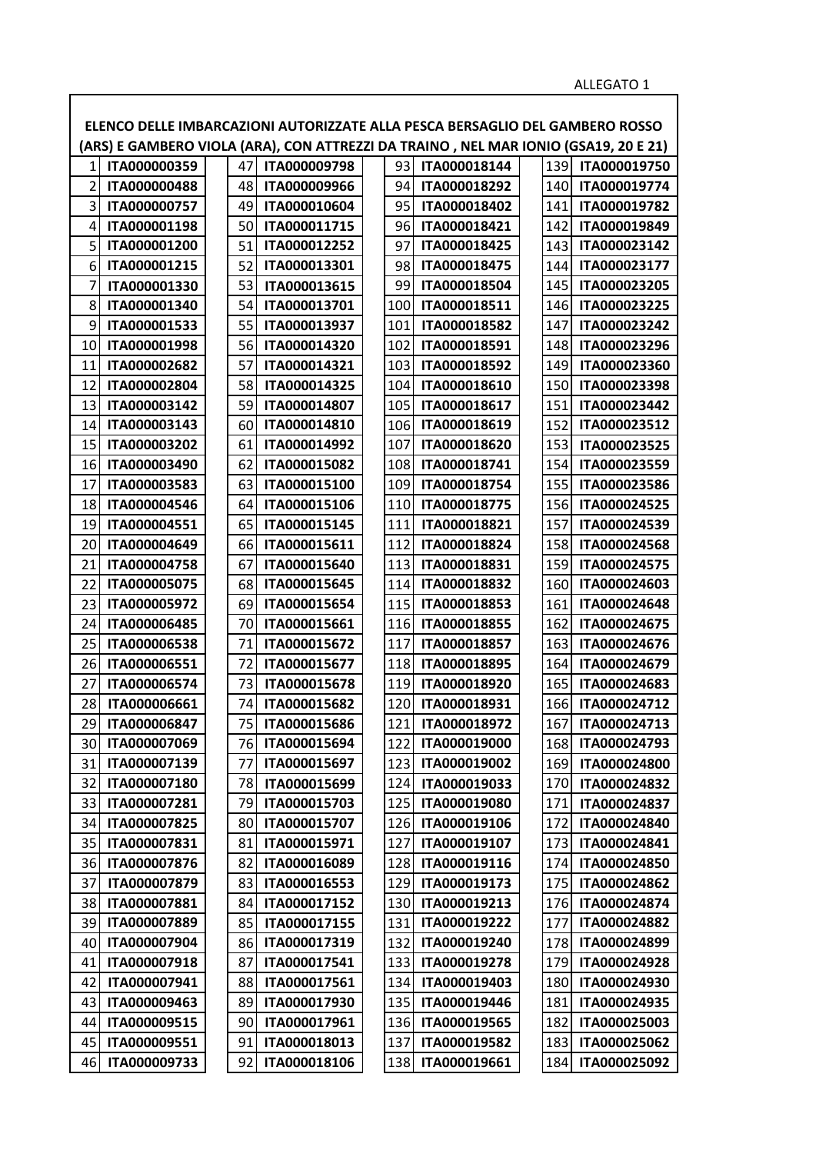|    | ELENCO DELLE IMBARCAZIONI AUTORIZZATE ALLA PESCA BERSAGLIO DEL GAMBERO ROSSO         |    |              |       |              |     |              |
|----|--------------------------------------------------------------------------------------|----|--------------|-------|--------------|-----|--------------|
|    | (ARS) E GAMBERO VIOLA (ARA), CON ATTREZZI DA TRAINO , NEL MAR IONIO (GSA19, 20 E 21) |    |              |       |              |     |              |
| 1  | ITA000000359                                                                         | 47 | ITA000009798 | 93    | ITA000018144 | 139 | ITA000019750 |
| 2  | ITA000000488                                                                         | 48 | ITA000009966 | 94    | ITA000018292 | 140 | ITA000019774 |
| 3  | ITA000000757                                                                         | 49 | ITA000010604 | 95    | ITA000018402 | 141 | ITA000019782 |
| 4  | ITA000001198                                                                         | 50 | ITA000011715 | 96    | ITA000018421 | 142 | ITA000019849 |
| 5  | ITA000001200                                                                         | 51 | ITA000012252 | 97    | ITA000018425 | 143 | ITA000023142 |
| 6  | ITA000001215                                                                         | 52 | ITA000013301 | 98    | ITA000018475 | 144 | ITA000023177 |
|    | ITA000001330                                                                         | 53 | ITA000013615 | 99    | ITA000018504 | 145 | ITA000023205 |
| 8  | ITA000001340                                                                         | 54 | ITA000013701 | 100   | ITA000018511 | 146 | ITA000023225 |
| 9  | ITA000001533                                                                         | 55 | ITA000013937 | 101   | ITA000018582 | 147 | ITA000023242 |
| 10 | ITA000001998                                                                         | 56 | ITA000014320 | 102   | ITA000018591 | 148 | ITA000023296 |
| 11 | ITA000002682                                                                         | 57 | ITA000014321 | 103   | ITA000018592 | 149 | ITA000023360 |
| 12 | ITA000002804                                                                         | 58 | ITA000014325 | 104   | ITA000018610 | 150 | ITA000023398 |
| 13 | ITA000003142                                                                         | 59 | ITA000014807 | 105   | ITA000018617 | 151 | ITA000023442 |
| 14 | ITA000003143                                                                         | 60 | ITA000014810 | 106   | ITA000018619 | 152 | ITA000023512 |
| 15 | ITA000003202                                                                         | 61 | ITA000014992 | 107   | ITA000018620 | 153 | ITA000023525 |
| 16 | ITA000003490                                                                         | 62 | ITA000015082 | 108   | ITA000018741 | 154 | ITA000023559 |
| 17 | ITA000003583                                                                         | 63 | ITA000015100 | 109   | ITA000018754 | 155 | ITA000023586 |
| 18 | ITA000004546                                                                         | 64 | ITA000015106 | 110   | ITA000018775 | 156 | ITA000024525 |
| 19 | ITA000004551                                                                         | 65 | ITA000015145 | 111   | ITA000018821 | 157 | ITA000024539 |
| 20 | ITA000004649                                                                         | 66 | ITA000015611 | 112   | ITA000018824 | 158 | ITA000024568 |
| 21 | ITA000004758                                                                         | 67 | ITA000015640 | 113   | ITA000018831 | 159 | ITA000024575 |
| 22 | ITA000005075                                                                         | 68 | ITA000015645 | 114   | ITA000018832 | 160 | ITA000024603 |
| 23 | ITA000005972                                                                         | 69 | ITA000015654 | 115   | ITA000018853 | 161 | ITA000024648 |
| 24 | ITA000006485                                                                         | 70 | ITA000015661 | 116   | ITA000018855 | 162 | ITA000024675 |
| 25 | ITA000006538                                                                         | 71 | ITA000015672 | 117   | ITA000018857 | 163 | ITA000024676 |
| 26 | ITA000006551                                                                         | 72 | ITA000015677 | 118   | ITA000018895 | 164 | ITA000024679 |
| 27 | ITA000006574                                                                         | 73 | ITA000015678 | 119   | ITA000018920 | 165 | ITA000024683 |
| 28 | ITA000006661                                                                         | 74 | ITA000015682 | 120   | ITA000018931 | 166 | ITA000024712 |
| 29 | ITA000006847                                                                         | 75 | ITA000015686 | $121$ | ITA000018972 | 167 | ITA000024713 |
| 30 | ITA000007069                                                                         | 76 | ITA000015694 | 122   | ITA000019000 | 168 | ITA000024793 |
| 31 | ITA000007139                                                                         | 77 | ITA000015697 | 123   | ITA000019002 | 169 | ITA000024800 |
| 32 | ITA000007180                                                                         | 78 | ITA000015699 | 124   | ITA000019033 | 170 | ITA000024832 |
| 33 | ITA000007281                                                                         | 79 | ITA000015703 | 125   | ITA000019080 | 171 | ITA000024837 |
| 34 | ITA000007825                                                                         | 80 | ITA000015707 | 126   | ITA000019106 | 172 | ITA000024840 |
| 35 | ITA000007831                                                                         | 81 | ITA000015971 | 127   | ITA000019107 | 173 | ITA000024841 |
| 36 | ITA000007876                                                                         | 82 | ITA000016089 | 128   | ITA000019116 | 174 | ITA000024850 |
| 37 | ITA000007879                                                                         | 83 | ITA000016553 | 129   | ITA000019173 | 175 | ITA000024862 |
| 38 | ITA000007881                                                                         | 84 | ITA000017152 | 130   | ITA000019213 | 176 | ITA000024874 |
| 39 | ITA000007889                                                                         | 85 | ITA000017155 | 131   | ITA000019222 | 177 | ITA000024882 |
| 40 | ITA000007904                                                                         | 86 | ITA000017319 | 132   | ITA000019240 | 178 | ITA000024899 |
| 41 | ITA000007918                                                                         | 87 | ITA000017541 | 133   | ITA000019278 | 179 | ITA000024928 |
| 42 | ITA000007941                                                                         | 88 | ITA000017561 | 134   | ITA000019403 | 180 | ITA000024930 |
| 43 | ITA000009463                                                                         | 89 | ITA000017930 | 135   | ITA000019446 | 181 | ITA000024935 |
| 44 | ITA000009515                                                                         | 90 | ITA000017961 | 136   | ITA000019565 | 182 | ITA000025003 |
| 45 | ITA000009551                                                                         | 91 | ITA000018013 | 137   | ITA000019582 | 183 | ITA000025062 |
| 46 | ITA000009733                                                                         | 92 | ITA000018106 | 138   | ITA000019661 | 184 | ITA000025092 |

 $\overline{\phantom{a}}$